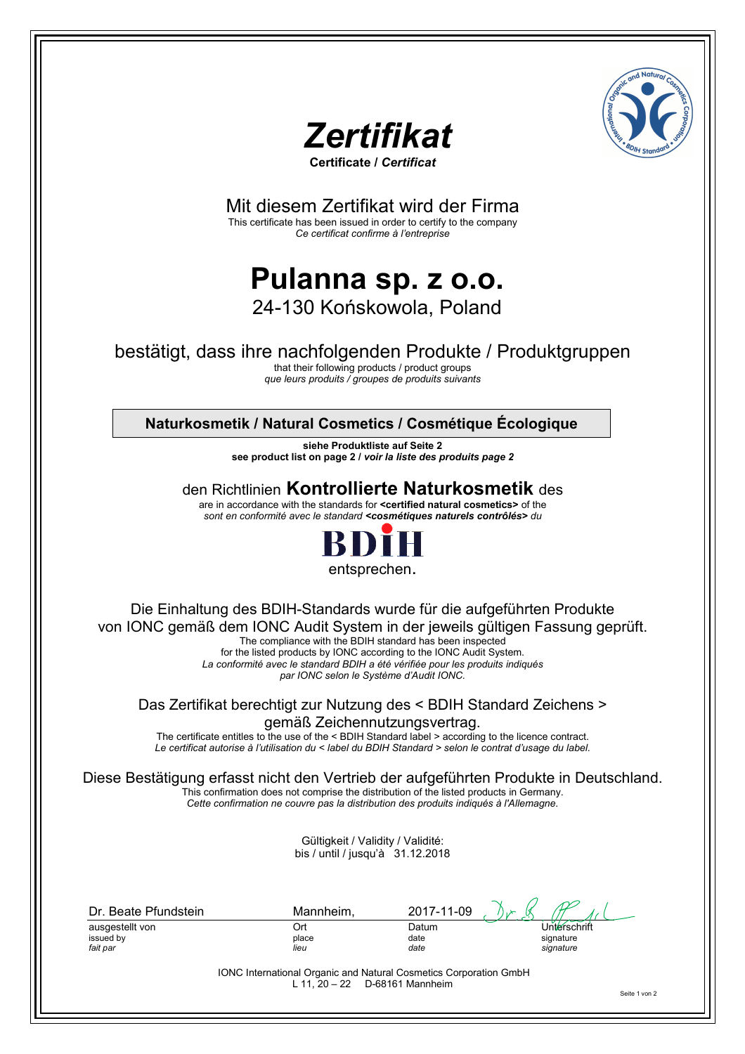



**Certificate /** *Certificat* 

Mit diesem Zertifikat wird der Firma

This certificate has been issued in order to certify to the company *Ce certificat confirme à l'entreprise*

# **Pulanna sp. z o.o.**  24-130 Końskowola, Poland

## bestätigt, dass ihre nachfolgenden Produkte / Produktgruppen

that their following products / product groups *que leurs produits / groupes de produits suivants*

## **Naturkosmetik / Natural Cosmetics / Cosmétique Écologique**

**siehe Produktliste auf Seite 2 see product list on page 2 /** *voir la liste des produits page 2*

## den Richtlinien **Kontrollierte Naturkosmetik** des

are in accordance with the standards for **<certified natural cosmetics>** of the *sont en conformité avec le standard <cosmétiques naturels contrôlés> du*



Die Einhaltung des BDIH-Standards wurde für die aufgeführten Produkte von IONC gemäß dem IONC Audit System in der jeweils gültigen Fassung geprüft. The compliance with the BDIH standard has been inspected for the listed products by IONC according to the IONC Audit System.

*La conformité avec le standard BDIH a été vérifiée pour les produits indiqués par IONC selon le Système d'Audit IONC.* 

Das Zertifikat berechtigt zur Nutzung des < BDIH Standard Zeichens > gemäß Zeichennutzungsvertrag.

The certificate entitles to the use of the < BDIH Standard label > according to the licence contract. *Le certificat autorise à l'utilisation du < label du BDIH Standard > selon le contrat d'usage du label.* 

Diese Bestätigung erfasst nicht den Vertrieb der aufgeführten Produkte in Deutschland.

This confirmation does not comprise the distribution of the listed products in Germany. *Cette confirmation ne couvre pas la distribution des produits indiqués à l'Allemagne.* 

> Gültigkeit / Validity / Validité: bis / until / jusqu'à 31.12.2018

| Dr. Beate Pfundstein | Mannheim, | 2017-11-09 | $\mathcal{L}(\mathbf{x})$ |
|----------------------|-----------|------------|---------------------------|
| ausgestellt von      | Ort       | Datum      | Unterschrift              |
| issued by            | place     | date       | signature                 |
| fait par             | lieu      | date       | signature                 |

IONC International Organic and Natural Cosmetics Corporation GmbH L 11, 20 – 22 D-68161 Mannheim

Seite 1 von 2